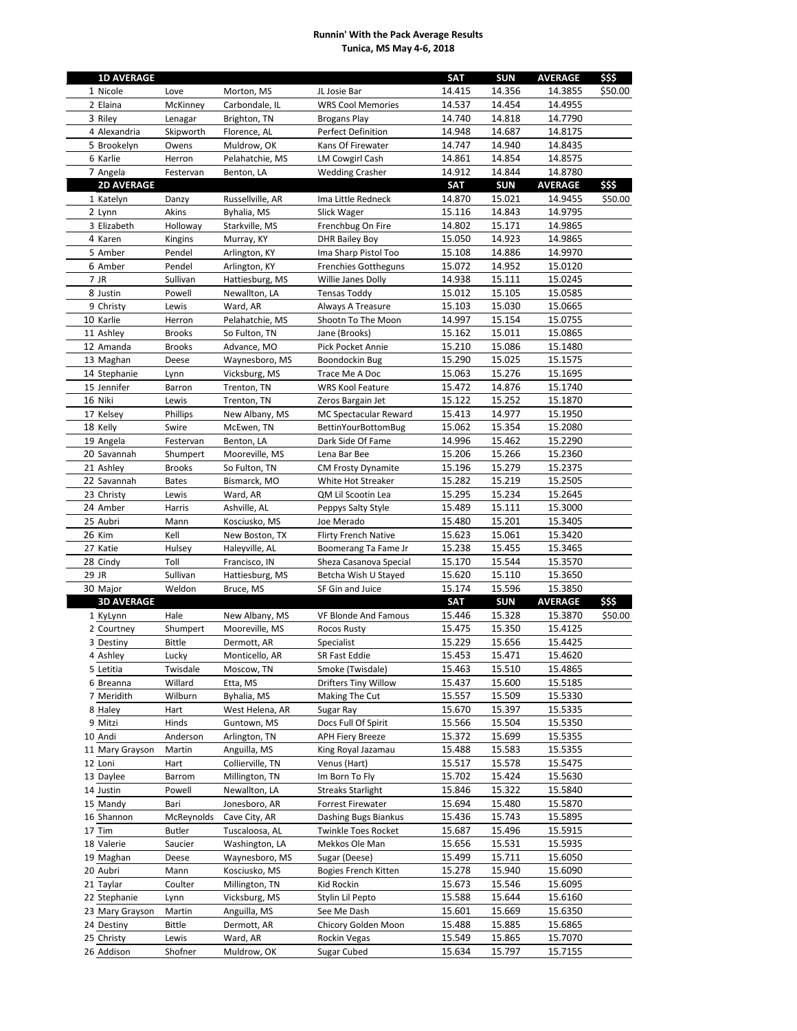## **Runnin' With the Pack Average Results Tunica, MS May 4-6, 2018**

| 14.415<br>14.356<br>1 Nicole<br>Love<br>Morton, MS<br>JL Josie Bar                                                        | \$\$\$<br><b>SUN</b><br><b>AVERAGE</b> |
|---------------------------------------------------------------------------------------------------------------------------|----------------------------------------|
|                                                                                                                           | \$50.00<br>14.3855                     |
| 14.537<br>14.454<br>2 Elaina<br>Carbondale, IL<br><b>WRS Cool Memories</b><br>McKinney                                    | 14.4955                                |
| 14.740<br>14.818<br>3 Riley<br>Lenagar<br>Brighton, TN<br><b>Brogans Play</b>                                             | 14.7790                                |
| 4 Alexandria<br>Skipworth<br><b>Perfect Definition</b><br>14.948<br>14.687<br>Florence, AL                                | 14.8175                                |
| 14.747<br>14.940<br>5 Brookelyn<br>Owens<br>Muldrow, OK<br>Kans Of Firewater                                              | 14.8435                                |
| 6 Karlie<br>Pelahatchie, MS<br><b>LM Cowgirl Cash</b><br>14.854<br>Herron<br>14.861                                       | 14.8575                                |
| 14.912<br>14.844<br>7 Angela<br>Benton, LA<br><b>Wedding Crasher</b><br>Festervan                                         | 14.8780                                |
| <b>2D AVERAGE</b><br><b>SAT</b><br><b>SUN</b>                                                                             | \$\$\$<br><b>AVERAGE</b>               |
| 15.021<br>1 Katelyn<br>14.870<br>Danzy<br>Russellville, AR<br>Ima Little Redneck                                          | 14.9455<br>\$50.00                     |
| 15.116<br>14.843<br>2 Lynn<br>Akins<br>Byhalia, MS<br>Slick Wager                                                         | 14.9795                                |
| 15.171<br>3 Elizabeth<br>Holloway<br>Frenchbug On Fire<br>14.802<br>Starkville, MS                                        | 14.9865                                |
| 4 Karen<br>15.050<br>14.923<br>Murray, KY<br>Kingins<br><b>DHR Bailey Boy</b>                                             | 14.9865                                |
| Ima Sharp Pistol Too<br>15.108<br>14.886<br>5 Amber<br>Pendel<br>Arlington, KY                                            | 14.9970                                |
| 14.952<br>6 Amber<br>Pendel<br>15.072<br>Arlington, KY<br><b>Frenchies Gottheguns</b>                                     | 15.0120                                |
| 15.111<br>7 JR<br>Sullivan<br>Hattiesburg, MS<br>Willie Janes Dolly<br>14.938                                             | 15.0245                                |
| 15.012<br>15.105<br>8 Justin<br>Powell<br>Newallton, LA<br><b>Tensas Toddy</b>                                            | 15.0585                                |
| 9 Christy<br>15.030<br>Lewis<br>Ward, AR<br>Always A Treasure<br>15.103                                                   | 15.0665                                |
| 10 Karlie<br>15.154<br>Pelahatchie, MS<br>Shootn To The Moon<br>14.997<br>Herron                                          | 15.0755                                |
| 15.011<br>11 Ashley<br>So Fulton, TN<br>15.162<br><b>Brooks</b><br>Jane (Brooks)                                          | 15.0865                                |
| 12 Amanda<br>15.210<br>15.086<br><b>Brooks</b><br>Advance, MO<br>Pick Pocket Annie                                        | 15.1480                                |
| 15.290<br>15.025<br>13 Maghan<br>Waynesboro, MS<br>Boondockin Bug<br>Deese                                                | 15.1575                                |
| 15.276<br>14 Stephanie<br>Vicksburg, MS<br>15.063<br>Lynn<br>Trace Me A Doc                                               | 15.1695                                |
| 15 Jennifer<br>15.472<br>14.876<br>Trenton, TN<br><b>WRS Kool Feature</b><br>Barron                                       | 15.1740                                |
| 16 Niki<br>Trenton, TN<br>15.122<br>15.252<br>Lewis<br>Zeros Bargain Jet                                                  | 15.1870                                |
| 17 Kelsey<br>14.977<br>Phillips<br>New Albany, MS<br>MC Spectacular Reward<br>15.413                                      | 15.1950                                |
| 15.354<br>18 Kelly<br>Swire<br>McEwen, TN<br>15.062<br><b>BettinYourBottomBug</b>                                         | 15.2080                                |
| 15.462<br>19 Angela<br>Benton, LA<br>Dark Side Of Fame<br>14.996<br>Festervan                                             | 15.2290                                |
| 15.266<br>20 Savannah<br>Mooreville, MS<br>15.206<br>Shumpert<br>Lena Bar Bee                                             | 15.2360                                |
| 15.279<br>21 Ashley<br>So Fulton, TN<br>15.196<br><b>Brooks</b><br><b>CM Frosty Dynamite</b>                              | 15.2375                                |
| 22 Savannah<br>15.282<br>15.219<br>Bismarck, MO<br>White Hot Streaker<br><b>Bates</b>                                     | 15.2505                                |
|                                                                                                                           |                                        |
| QM Lil Scootin Lea<br>15.295<br>15.234<br>23 Christy<br>Lewis<br>Ward, AR<br>24 Amber<br>15.111<br>Ashville, AL<br>15.489 | 15.2645<br>15.3000                     |
| Peppys Salty Style<br>Harris                                                                                              |                                        |
| 15.201<br>25 Aubri<br>Kosciusko, MS<br>Joe Merado<br>15.480<br>Mann                                                       | 15.3405                                |
| 15.061<br>26 Kim<br>Kell<br>New Boston, TX<br><b>Flirty French Native</b><br>15.623                                       | 15.3420                                |
| 27 Katie<br>15.455<br>Hulsey<br>Haleyville, AL<br>Boomerang Ta Fame Jr<br>15.238                                          | 15.3465                                |
| Toll<br>15.544<br>28 Cindy<br>15.170<br>Francisco, IN<br>Sheza Casanova Special                                           | 15.3570                                |
| 29 JR<br>Sullivan<br>15.620<br>15.110<br>Hattiesburg, MS<br>Betcha Wish U Stayed                                          | 15.3650                                |
| 15.596<br>30 Major<br>SF Gin and Juice<br>15.174<br>Weldon<br>Bruce, MS                                                   | 15.3850                                |
| <b>3D AVERAGE</b><br><b>SAT</b><br><b>SUN</b>                                                                             | \$\$\$<br><b>AVERAGE</b>               |
| 15.446<br>15.328<br>1 KyLynn<br>Hale<br>New Albany, MS<br>VF Blonde And Famous                                            | 15.3870<br>\$50.00                     |
|                                                                                                                           |                                        |
| 15.350<br>2 Courtney<br>Shumpert<br>Mooreville, MS<br>15.475<br>Rocos Rusty                                               | 15.4125                                |
| 15.656<br>3 Destiny<br><b>Bittle</b><br>Dermott, AR<br>Specialist<br>15.229                                               | 15.4425                                |
| SR Fast Eddie<br>15.453<br>15.471<br>4 Ashley<br>Monticello, AR<br>Lucky                                                  | 15.4620                                |
| 15.463<br>15.510<br>5 Letitia<br>Twisdale<br>Moscow, TN<br>Smoke (Twisdale)                                               | 15.4865                                |
| 15.600<br>6 Breanna<br>Willard<br>Etta, MS<br><b>Drifters Tiny Willow</b><br>15.437                                       | 15.5185                                |
| Making The Cut<br>15.557<br>15.509<br>7 Meridith<br>Wilburn<br>Byhalia, MS                                                | 15.5330                                |
| 15.397<br>Hart<br>West Helena, AR<br>15.670<br>8 Haley<br>Sugar Ray                                                       | 15.5335                                |
| 9 Mitzi<br>Docs Full Of Spirit<br>15.566<br>15.504<br>Hinds<br>Guntown, MS                                                | 15.5350                                |
| 10 Andi<br>Anderson<br>Arlington, TN<br>15.372<br>15.699<br><b>APH Fiery Breeze</b>                                       | 15.5355                                |
| 15.583<br>11 Mary Grayson<br>Martin<br>Anguilla, MS<br>King Royal Jazamau<br>15.488                                       | 15.5355                                |
| 15.578<br>Collierville, TN<br>Venus (Hart)<br>15.517<br>12 Loni<br>Hart                                                   | 15.5475                                |
| 15.702<br>15.424<br>13 Daylee<br>Millington, TN<br>Im Born To Fly<br>Barrom                                               | 15.5630                                |
| Newallton, LA<br><b>Streaks Starlight</b><br>15.846<br>15.322<br>14 Justin<br>Powell                                      | 15.5840                                |
| 15 Mandy<br>Jonesboro, AR<br>15.694<br>15.480<br>Bari<br>Forrest Firewater                                                | 15.5870                                |
| 15.436<br>15.743<br>16 Shannon<br>McReynolds<br>Cave City, AR<br>Dashing Bugs Biankus                                     | 15.5895                                |
| 17 Tim<br><b>Butler</b><br>Tuscaloosa, AL<br><b>Twinkle Toes Rocket</b><br>15.687<br>15.496                               | 15.5915                                |
| 15.531<br>18 Valerie<br>Saucier<br>Washington, LA<br>Mekkos Ole Man<br>15.656                                             | 15.5935                                |
| 15.711<br>19 Maghan<br>Deese<br>Waynesboro, MS<br>Sugar (Deese)<br>15.499                                                 | 15.6050                                |
| 15.940<br>20 Aubri<br>Kosciusko, MS<br>Bogies French Kitten<br>15.278<br>Mann                                             | 15.6090                                |
| Kid Rockin<br>15.673<br>15.546<br>21 Taylar<br>Coulter<br>Millington, TN                                                  | 15.6095                                |
| 15.644<br>22 Stephanie<br>15.588<br>Lynn<br>Vicksburg, MS<br>Stylin Lil Pepto                                             | 15.6160                                |
| 15.601<br>15.669<br>Anguilla, MS<br>See Me Dash<br>23 Mary Grayson<br>Martin                                              | 15.6350                                |
| 15.885<br>24 Destiny<br><b>Bittle</b><br>Chicory Golden Moon<br>15.488<br>Dermott, AR                                     | 15.6865                                |
| 15.549<br>15.865<br>25 Christy<br>Lewis<br>Ward, AR<br>Rockin Vegas                                                       | 15.7070                                |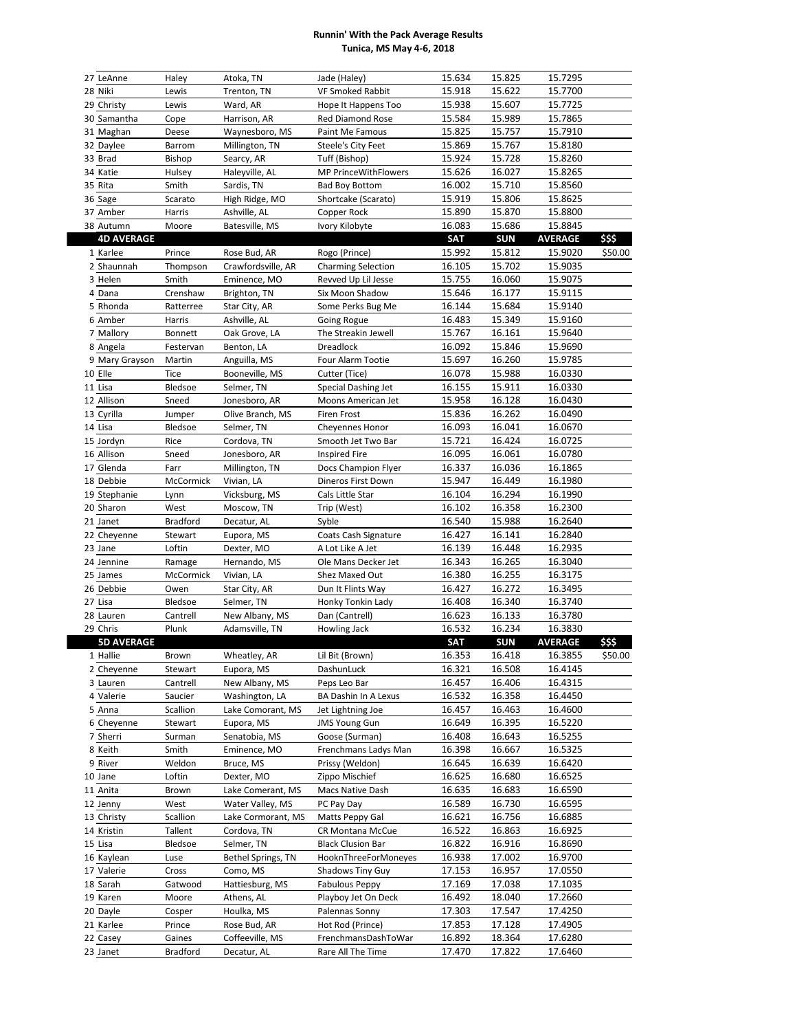## **Runnin' With the Pack Average Results Tunica, MS May 4-6, 2018**

| 27 LeAnne            | Haley                     | Atoka, TN                      | Jade (Haley)                             | 15.634           | 15.825           | 15.7295            |         |
|----------------------|---------------------------|--------------------------------|------------------------------------------|------------------|------------------|--------------------|---------|
| 28 Niki              | Lewis                     | Trenton, TN                    | <b>VF Smoked Rabbit</b>                  | 15.918           | 15.622           | 15.7700            |         |
| 29 Christy           | Lewis                     | Ward, AR                       | Hope It Happens Too                      | 15.938           | 15.607           | 15.7725            |         |
| 30 Samantha          | Cope                      | Harrison, AR                   | Red Diamond Rose                         | 15.584           | 15.989           | 15.7865            |         |
| 31 Maghan            | Deese                     | Waynesboro, MS                 | Paint Me Famous                          | 15.825           | 15.757           | 15.7910            |         |
| 32 Daylee            | Barrom                    | Millington, TN                 | Steele's City Feet                       | 15.869           | 15.767           | 15.8180            |         |
| 33 Brad              | <b>Bishop</b>             | Searcy, AR                     | Tuff (Bishop)                            | 15.924           | 15.728           | 15.8260            |         |
| 34 Katie             | Hulsey                    | Haleyville, AL                 | MP PrinceWithFlowers                     | 15.626           | 16.027           | 15.8265            |         |
| 35 Rita              | Smith                     | Sardis, TN                     | <b>Bad Boy Bottom</b>                    | 16.002           | 15.710           | 15.8560            |         |
| 36 Sage              | Scarato                   | High Ridge, MO                 | Shortcake (Scarato)                      | 15.919           | 15.806           | 15.8625            |         |
|                      |                           | Ashville, AL                   |                                          |                  |                  |                    |         |
| 37 Amber             | Harris                    |                                | Copper Rock                              | 15.890<br>16.083 | 15.870           | 15.8800<br>15.8845 |         |
| 38 Autumn            | Moore                     | Batesville, MS                 | Ivory Kilobyte                           |                  | 15.686           |                    |         |
| <b>4D AVERAGE</b>    |                           |                                |                                          | <b>SAT</b>       | <b>SUN</b>       | <b>AVERAGE</b>     | \$\$\$  |
| 1 Karlee             | Prince                    | Rose Bud, AR                   | Rogo (Prince)                            | 15.992           | 15.812           | 15.9020            | \$50.00 |
| 2 Shaunnah           | Thompson                  | Crawfordsville, AR             | <b>Charming Selection</b>                | 16.105           | 15.702           | 15.9035            |         |
| 3 Helen              | Smith                     | Eminence, MO                   | Revved Up Lil Jesse                      | 15.755           | 16.060           | 15.9075            |         |
| 4 Dana               | Crenshaw                  | Brighton, TN                   | Six Moon Shadow                          | 15.646           | 16.177           | 15.9115            |         |
| 5 Rhonda             | Ratterree                 | Star City, AR                  | Some Perks Bug Me                        | 16.144           | 15.684           | 15.9140            |         |
| 6 Amber              | Harris                    | Ashville, AL                   | Going Rogue                              | 16.483           | 15.349           | 15.9160            |         |
| 7 Mallory            | Bonnett                   | Oak Grove, LA                  | The Streakin Jewell                      | 15.767           | 16.161           | 15.9640            |         |
| 8 Angela             | Festervan                 | Benton, LA                     | Dreadlock                                | 16.092           | 15.846           | 15.9690            |         |
| 9 Mary Grayson       | Martin                    | Anguilla, MS                   | Four Alarm Tootie                        | 15.697           | 16.260           | 15.9785            |         |
| 10 Elle              | <b>Tice</b>               | Booneville, MS                 | Cutter (Tice)                            | 16.078           | 15.988           | 16.0330            |         |
| 11 Lisa              | Bledsoe                   | Selmer, TN                     | Special Dashing Jet                      | 16.155           | 15.911           | 16.0330            |         |
| 12 Allison           | Sneed                     | Jonesboro, AR                  | Moons American Jet                       | 15.958           | 16.128           | 16.0430            |         |
| 13 Cyrilla           | Jumper                    | Olive Branch, MS               | Firen Frost                              | 15.836           | 16.262           | 16.0490            |         |
| 14 Lisa              | Bledsoe                   | Selmer, TN                     | Cheyennes Honor                          | 16.093           | 16.041           | 16.0670            |         |
| 15 Jordyn            | Rice                      | Cordova, TN                    | Smooth Jet Two Bar                       | 15.721           | 16.424           | 16.0725            |         |
| 16 Allison           | Sneed                     | Jonesboro, AR                  | <b>Inspired Fire</b>                     | 16.095           | 16.061           | 16.0780            |         |
| 17 Glenda            | Farr                      | Millington, TN                 | Docs Champion Flyer                      | 16.337           | 16.036           | 16.1865            |         |
| 18 Debbie            | McCormick                 | Vivian, LA                     | Dineros First Down                       | 15.947           | 16.449           | 16.1980            |         |
| 19 Stephanie         | Lynn                      | Vicksburg, MS                  | Cals Little Star                         | 16.104           | 16.294           | 16.1990            |         |
| 20 Sharon            | West                      | Moscow, TN                     | Trip (West)                              | 16.102           | 16.358           | 16.2300            |         |
| 21 Janet             | <b>Bradford</b>           | Decatur, AL                    | Syble                                    | 16.540           | 15.988           | 16.2640            |         |
|                      |                           |                                |                                          |                  |                  |                    |         |
|                      |                           |                                |                                          |                  |                  |                    |         |
| 22 Cheyenne          | Stewart                   | Eupora, MS                     | Coats Cash Signature                     | 16.427           | 16.141           | 16.2840            |         |
| 23 Jane              | Loftin                    | Dexter, MO                     | A Lot Like A Jet                         | 16.139           | 16.448           | 16.2935            |         |
| 24 Jennine           | Ramage                    | Hernando, MS                   | Ole Mans Decker Jet                      | 16.343           | 16.265           | 16.3040            |         |
| 25 James             | McCormick                 | Vivian, LA                     | Shez Maxed Out                           | 16.380           | 16.255           | 16.3175            |         |
| 26 Debbie            | Owen                      | Star City, AR                  | Dun It Flints Way                        | 16.427           | 16.272           | 16.3495            |         |
| 27 Lisa              | Bledsoe                   | Selmer, TN                     | Honky Tonkin Lady                        | 16.408           | 16.340           | 16.3740            |         |
| 28 Lauren            | Cantrell                  | New Albany, MS                 | Dan (Cantrell)                           | 16.623           | 16.133           | 16.3780            |         |
| 29 Chris             | Plunk                     | Adamsville, TN                 | Howling Jack                             | 16.532           | 16.234           | 16.3830            |         |
| <b>5D AVERAGE</b>    |                           |                                |                                          | <b>SAT</b>       | <b>SUN</b>       | <b>AVERAGE</b>     | \$\$\$  |
| 1 Hallie             | Brown                     | Wheatley, AR                   | Lil Bit (Brown)                          | 16.353           | 16.418           | 16.3855            | \$50.00 |
| 2 Cheyenne           | Stewart                   | Eupora, MS<br>New Albany, MS   | DashunLuck<br>Peps Leo Bar               | 16.321           | 16.508           | 16.4145            |         |
| 3 Lauren             | Cantrell                  |                                |                                          | 16.457           | 16.406           | 16.4315            |         |
| 4 Valerie            | Saucier                   | Washington, LA                 | BA Dashin In A Lexus                     | 16.532           | 16.358           | 16.4450            |         |
| 5 Anna               | Scallion                  | Lake Comorant, MS              | Jet Lightning Joe                        | 16.457           | 16.463           | 16.4600            |         |
| 6 Cheyenne           | Stewart                   | Eupora, MS                     | <b>JMS Young Gun</b>                     | 16.649           | 16.395           | 16.5220            |         |
| 7 Sherri             | Surman                    | Senatobia, MS                  | Goose (Surman)                           | 16.408           | 16.643           | 16.5255            |         |
| 8 Keith              | Smith                     | Eminence, MO                   | Frenchmans Ladys Man                     | 16.398           | 16.667           | 16.5325            |         |
| 9 River              | Weldon                    | Bruce, MS                      | Prissy (Weldon)                          | 16.645           | 16.639           | 16.6420            |         |
| 10 Jane              | Loftin                    | Dexter, MO                     | Zippo Mischief                           | 16.625           | 16.680           | 16.6525            |         |
| 11 Anita             | Brown                     | Lake Comerant, MS              | Macs Native Dash                         | 16.635           | 16.683           | 16.6590            |         |
| 12 Jenny             | West                      | Water Valley, MS               | PC Pay Day                               | 16.589           | 16.730           | 16.6595            |         |
| 13 Christy           | Scallion                  | Lake Cormorant, MS             | Matts Peppy Gal                          | 16.621           | 16.756           | 16.6885            |         |
| 14 Kristin           | Tallent                   | Cordova, TN                    | CR Montana McCue                         | 16.522           | 16.863           | 16.6925            |         |
| 15 Lisa              | Bledsoe                   | Selmer, TN                     | <b>Black Clusion Bar</b>                 | 16.822           | 16.916           | 16.8690            |         |
| 16 Kaylean           | Luse                      | Bethel Springs, TN             | HooknThreeForMoneyes                     | 16.938           | 17.002           | 16.9700            |         |
| 17 Valerie           | Cross                     | Como, MS                       | Shadows Tiny Guy                         | 17.153           | 16.957           | 17.0550            |         |
| 18 Sarah             | Gatwood                   | Hattiesburg, MS                | Fabulous Peppy                           | 17.169           | 17.038           | 17.1035            |         |
| 19 Karen             | Moore                     | Athens, AL                     | Playboy Jet On Deck                      | 16.492           | 18.040           | 17.2660            |         |
| 20 Dayle             | Cosper                    | Houlka, MS                     | Palennas Sonny                           | 17.303           | 17.547           | 17.4250            |         |
| 21 Karlee            | Prince                    | Rose Bud, AR                   | Hot Rod (Prince)                         | 17.853           | 17.128           | 17.4905            |         |
| 22 Casey<br>23 Janet | Gaines<br><b>Bradford</b> | Coffeeville, MS<br>Decatur, AL | FrenchmansDashToWar<br>Rare All The Time | 16.892<br>17.470 | 18.364<br>17.822 | 17.6280<br>17.6460 |         |